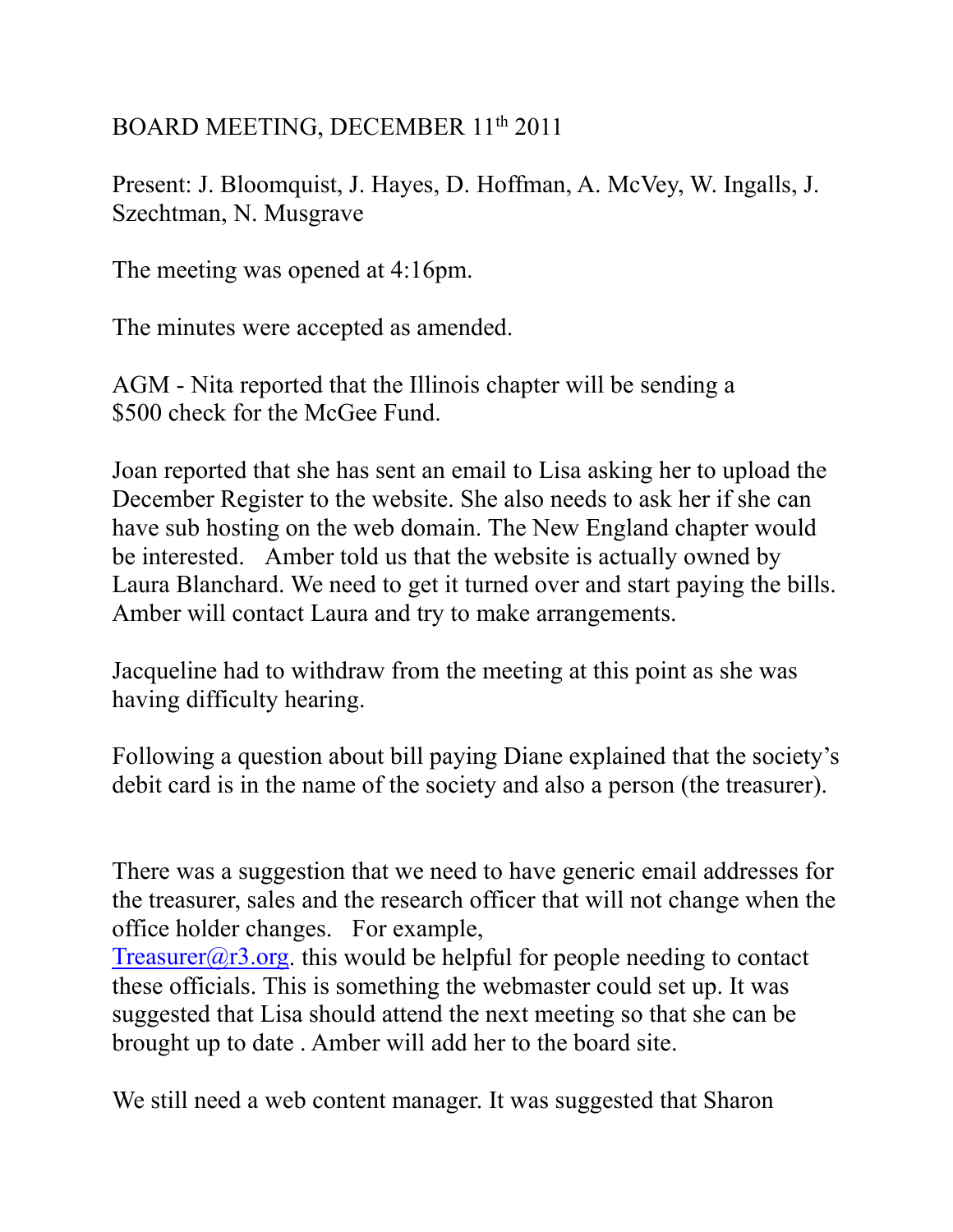## BOARD MEETING, DECEMBER 11<sup>th</sup> 2011

Present: J. Bloomquist, J. Hayes, D. Hoffman, A. McVey, W. Ingalls, J. Szechtman, N. Musgrave

The meeting was opened at 4:16pm.

The minutes were accepted as amended.

AGM - Nita reported that the Illinois chapter will be sending a \$500 check for the McGee Fund.

Joan reported that she has sent an email to Lisa asking her to upload the December Register to the website. She also needs to ask her if she can have sub hosting on the web domain. The New England chapter would be interested. Amber told us that the website is actually owned by Laura Blanchard. We need to get it turned over and start paying the bills. Amber will contact Laura and try to make arrangements.

Jacqueline had to withdraw from the meeting at this point as she was having difficulty hearing.

Following a question about bill paying Diane explained that the society's debit card is in the name of the society and also a person (the treasurer).

There was a suggestion that we need to have generic email addresses for the treasurer, sales and the research officer that will not change when the office holder changes. For example,

[Treasurer@r3.org.](mailto:Treasurer@r3.org) this would be helpful for people needing to contact these officials. This is something the webmaster could set up. It was suggested that Lisa should attend the next meeting so that she can be brought up to date . Amber will add her to the board site.

We still need a web content manager. It was suggested that Sharon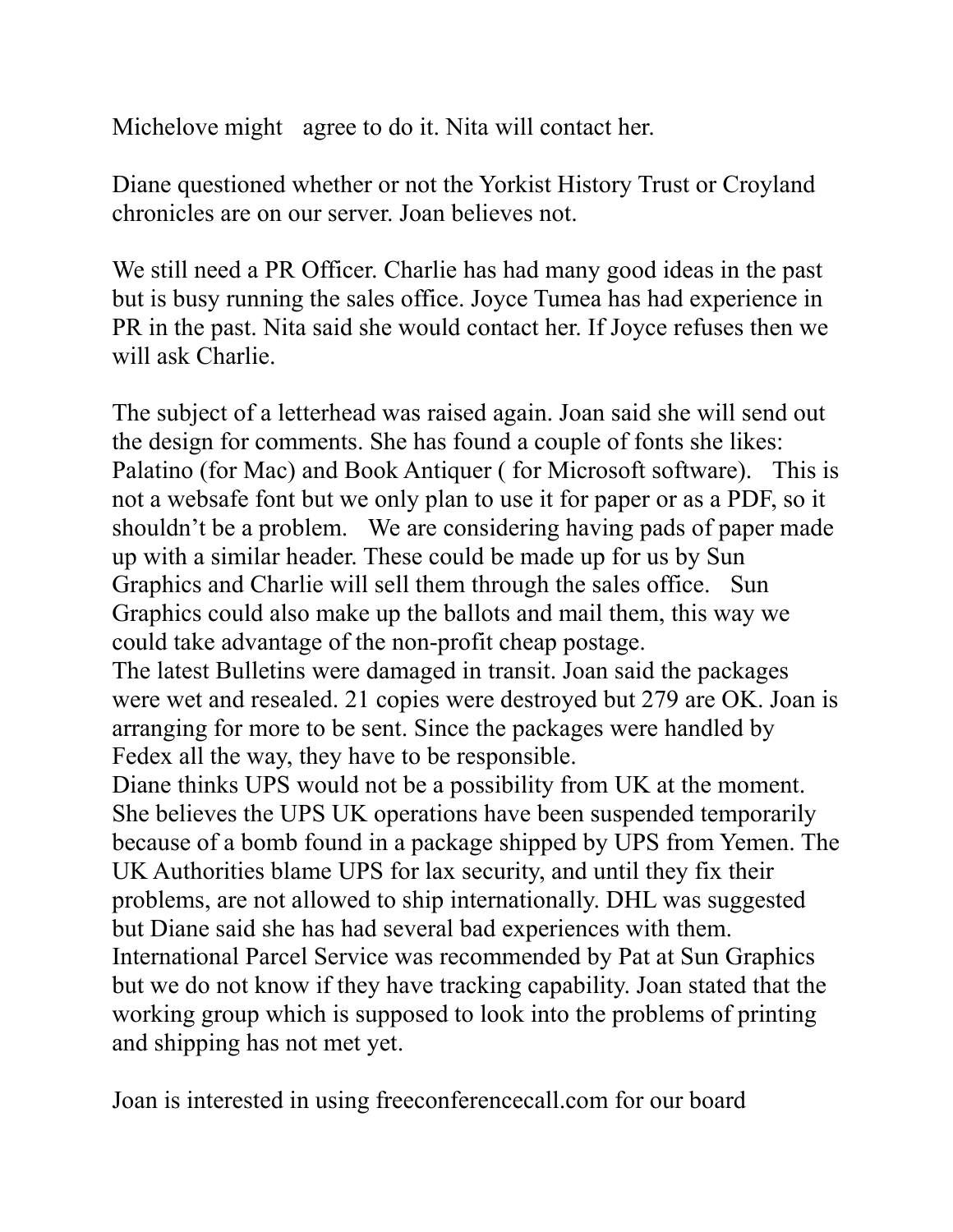Michelove might agree to do it. Nita will contact her.

Diane questioned whether or not the Yorkist History Trust or Croyland chronicles are on our server. Joan believes not.

We still need a PR Officer. Charlie has had many good ideas in the past but is busy running the sales office. Joyce Tumea has had experience in PR in the past. Nita said she would contact her. If Joyce refuses then we will ask Charlie.

The subject of a letterhead was raised again. Joan said she will send out the design for comments. She has found a couple of fonts she likes: Palatino (for Mac) and Book Antiquer ( for Microsoft software). This is not a websafe font but we only plan to use it for paper or as a PDF, so it shouldn't be a problem. We are considering having pads of paper made up with a similar header. These could be made up for us by Sun Graphics and Charlie will sell them through the sales office. Sun Graphics could also make up the ballots and mail them, this way we could take advantage of the non-profit cheap postage.

The latest Bulletins were damaged in transit. Joan said the packages were wet and resealed. 21 copies were destroyed but 279 are OK. Joan is arranging for more to be sent. Since the packages were handled by Fedex all the way, they have to be responsible.

Diane thinks UPS would not be a possibility from UK at the moment. She believes the UPS UK operations have been suspended temporarily because of a bomb found in a package shipped by UPS from Yemen. The UK Authorities blame UPS for lax security, and until they fix their problems, are not allowed to ship internationally. DHL was suggested but Diane said she has had several bad experiences with them. International Parcel Service was recommended by Pat at Sun Graphics but we do not know if they have tracking capability. Joan stated that the working group which is supposed to look into the problems of printing and shipping has not met yet.

Joan is interested in using freeconferencecall.com for our board